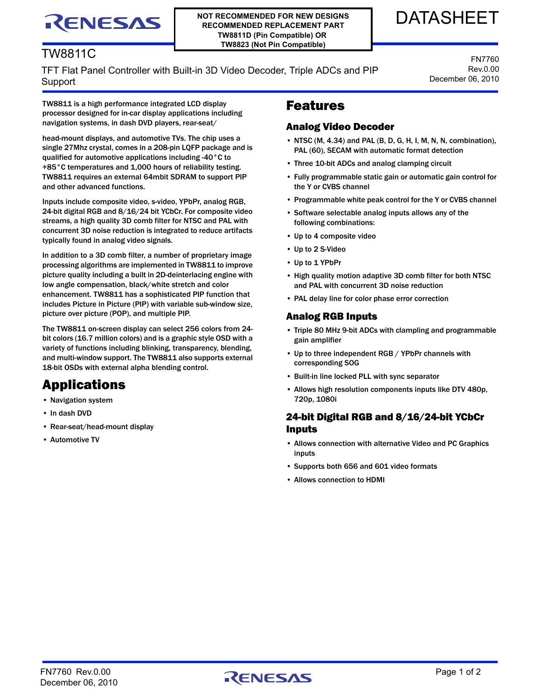# RENESAS

TW8811C

**NOT RECOMMENDED FOR NEW DESIGNS RECOMMENDED REPLACEMENT PART TW8811D (Pin Compatible) OR TW8823 (Not Pin Compatible)**

## DATASHEET

FN7760 Rev.0.00 December 06, 2010

### TFT Flat Panel Controller with Built-in 3D Video Decoder, Triple ADCs and PIP Support

TW8811 is a high performance integrated LCD display processor designed for in-car display applications including navigation systems, in dash DVD players, rear-seat/

head-mount displays, and automotive TVs. The chip uses a single 27Mhz crystal, comes in a 208-pin LQFP package and is qualified for automotive applications including -40°C to +85°C temperatures and 1,000 hours of reliability testing. TW8811 requires an external 64mbit SDRAM to support PIP and other advanced functions.

Inputs include composite video, s-video, YPbPr, analog RGB, 24-bit digital RGB and 8/16/24 bit YCbCr. For composite video streams, a high quality 3D comb filter for NTSC and PAL with concurrent 3D noise reduction is integrated to reduce artifacts typically found in analog video signals.

In addition to a 3D comb filter, a number of proprietary image processing algorithms are implemented in TW8811 to improve picture quality including a built in 2D-deinterlacing engine with low angle compensation, black/white stretch and color enhancement. TW8811 has a sophisticated PIP function that includes Picture in Picture (PIP) with variable sub-window size, picture over picture (POP), and multiple PIP.

The TW8811 on-screen display can select 256 colors from 24 bit colors (16.7 million colors) and is a graphic style OSD with a variety of functions including blinking, transparency, blending, and multi-window support. The TW8811 also supports external 18-bit OSDs with external alpha blending control.

## Applications

- Navigation system
- In dash DVD
- Rear-seat/head-mount display
- Automotive TV

## Features

#### Analog Video Decoder

- NTSC (M, 4.34) and PAL (B, D, G, H, I, M, N, N, combination), PAL (60), SECAM with automatic format detection
- Three 10-bit ADCs and analog clamping circuit
- Fully programmable static gain or automatic gain control for the Y or CVBS channel
- Programmable white peak control for the Y or CVBS channel
- Software selectable analog inputs allows any of the following combinations:
- Up to 4 composite video
- Up to 2 S-Video
- Up to 1 YPbPr
- High quality motion adaptive 3D comb filter for both NTSC and PAL with concurrent 3D noise reduction
- PAL delay line for color phase error correction

#### Analog RGB Inputs

- Triple 80 MHz 9-bit ADCs with clampling and programmable gain amplifier
- Up to three independent RGB / YPbPr channels with corresponding SOG
- Built-in line locked PLL with sync separator
- Allows high resolution components inputs like DTV 480p, 720p, 1080i

#### 24-bit Digital RGB and 8/16/24-bit YCbCr Inputs

- Allows connection with alternative Video and PC Graphics inputs
- Supports both 656 and 601 video formats
- Allows connection to HDMI